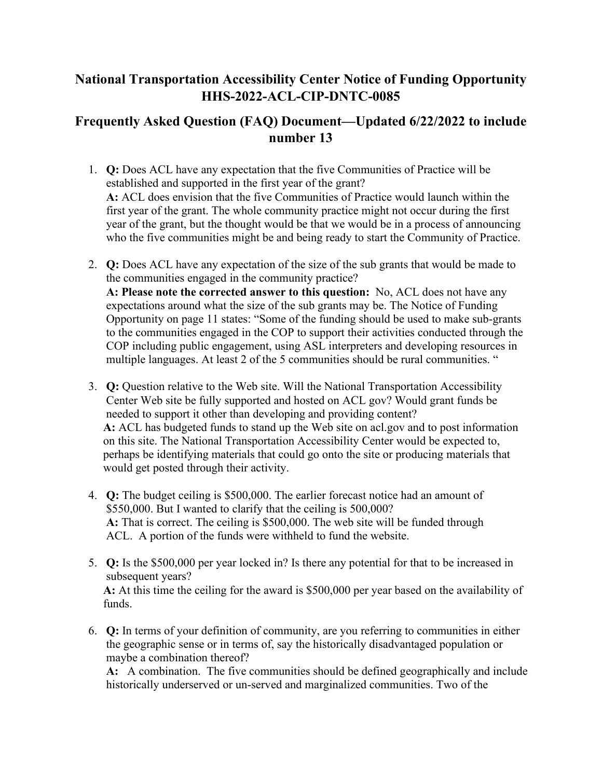## **National Transportation Accessibility Center Notice of Funding Opportunity HHS-2022-ACL-CIP-DNTC-0085**

## **Frequently Asked Question (FAQ) Document—Updated 6/22/2022 to include number 13**

- 1. **Q:** Does ACL have any expectation that the five Communities of Practice will be established and supported in the first year of the grant?  **A:** ACL does envision that the five Communities of Practice would launch within the first year of the grant. The whole community practice might not occur during the first year of the grant, but the thought would be that we would be in a process of announcing who the five communities might be and being ready to start the Community of Practice.
- 2. **Q:** Does ACL have any expectation of the size of the sub grants that would be made to the communities engaged in the community practice?  **A: Please note the corrected answer to this question:** No, ACL does not have any expectations around what the size of the sub grants may be. The Notice of Funding Opportunity on page 11 states: "Some of the funding should be used to make sub-grants to the communities engaged in the COP to support their activities conducted through the COP including public engagement, using ASL interpreters and developing resources in multiple languages. At least 2 of the 5 communities should be rural communities. "
- 3. **Q:** Question relative to the Web site. Will the National Transportation Accessibility Center Web site be fully supported and hosted on ACL gov? Would grant funds be needed to support it other than developing and providing content?  **A:** ACL has budgeted funds to stand up the Web site on acl.gov and to post information on this site. The National Transportation Accessibility Center would be expected to, perhaps be identifying materials that could go onto the site or producing materials that would get posted through their activity.
- 4. **Q:** The budget ceiling is \$500,000. The earlier forecast notice had an amount of \$550,000. But I wanted to clarify that the ceiling is 500,000?  **A:** That is correct. The ceiling is \$500,000. The web site will be funded through ACL. A portion of the funds were withheld to fund the website.
- 5. **Q:** Is the \$500,000 per year locked in? Is there any potential for that to be increased in subsequent years?  **A:** At this time the ceiling for the award is \$500,000 per year based on the availability of funds.
- 6. **Q:** In terms of your definition of community, are you referring to communities in either the geographic sense or in terms of, say the historically disadvantaged population or maybe a combination thereof?

**A:** A combination. The five communities should be defined geographically and include historically underserved or un-served and marginalized communities. Two of the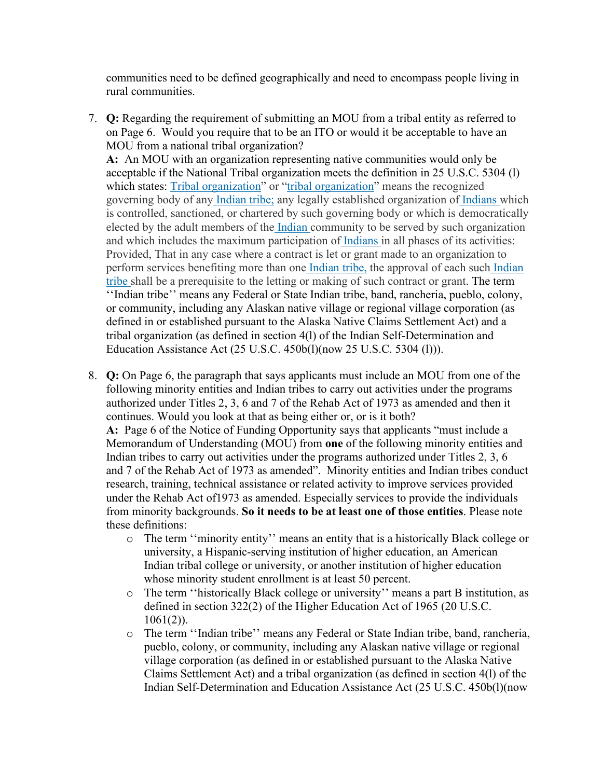communities need to be defined geographically and need to encompass people living in rural communities.

7. **Q:** Regarding the requirement of submitting an MOU from a tribal entity as referred to on Page 6. Would you require that to be an ITO or would it be acceptable to have an MOU from a national tribal organization?

**A:** An MOU with an organization representing native communities would only be acceptable if the National Tribal organization meets the definition in 25 U.S.C. 5304 (l) which states: [Tribal organization"](https://gcc02.safelinks.protection.outlook.com/?url=https%3A%2F%2Fwww.law.cornell.edu%2Fdefinitions%2Fuscode.php%3Fwidth%3D840%26height%3D800%26iframe%3Dtrue%26def_id%3D25-USC-1777858031-1757435817%26term_occur%3D999%26term_src%3Dtitle%3A25%3Achapter%3A46%3Asection%3A5304&data=05%7C01%7CLori.Gerhard%40acl.hhs.gov%7Cba5ccebd4f0e4a4469b608da3db80653%7Cd58addea50534a808499ba4d944910df%7C0%7C0%7C637890157829920785%7CUnknown%7CTWFpbGZsb3d8eyJWIjoiMC4wLjAwMDAiLCJQIjoiV2luMzIiLCJBTiI6Ik1haWwiLCJXVCI6Mn0%3D%7C3000%7C%7C%7C&sdata=HgGWaO3%2Bx5lX7lgy0MAdQPqvpNrgu6nvOZuMAMnruco%3D&reserved=0) or ["tribal organization"](https://gcc02.safelinks.protection.outlook.com/?url=https%3A%2F%2Fwww.law.cornell.edu%2Fdefinitions%2Fuscode.php%3Fwidth%3D840%26height%3D800%26iframe%3Dtrue%26def_id%3D25-USC-1777858031-1757435817%26term_occur%3D999%26term_src%3Dtitle%3A25%3Achapter%3A46%3Asection%3A5304&data=05%7C01%7CLori.Gerhard%40acl.hhs.gov%7Cba5ccebd4f0e4a4469b608da3db80653%7Cd58addea50534a808499ba4d944910df%7C0%7C0%7C637890157829920785%7CUnknown%7CTWFpbGZsb3d8eyJWIjoiMC4wLjAwMDAiLCJQIjoiV2luMzIiLCJBTiI6Ik1haWwiLCJXVCI6Mn0%3D%7C3000%7C%7C%7C&sdata=HgGWaO3%2Bx5lX7lgy0MAdQPqvpNrgu6nvOZuMAMnruco%3D&reserved=0) means the recognized governing body of an[y Indian tribe;](https://gcc02.safelinks.protection.outlook.com/?url=https%3A%2F%2Fwww.law.cornell.edu%2Fdefinitions%2Fuscode.php%3Fwidth%3D840%26height%3D800%26iframe%3Dtrue%26def_id%3D25-USC-1151445019-1757435810%26term_occur%3D999%26term_src%3Dtitle%3A25%3Achapter%3A46%3Asection%3A5304&data=05%7C01%7CLori.Gerhard%40acl.hhs.gov%7Cba5ccebd4f0e4a4469b608da3db80653%7Cd58addea50534a808499ba4d944910df%7C0%7C0%7C637890157829920785%7CUnknown%7CTWFpbGZsb3d8eyJWIjoiMC4wLjAwMDAiLCJQIjoiV2luMzIiLCJBTiI6Ik1haWwiLCJXVCI6Mn0%3D%7C3000%7C%7C%7C&sdata=CoX3QsteAy42JLCLUnmX6nFoga84ZKRixmbQBtzrpW4%3D&reserved=0) any legally established organization o[f Indians w](https://gcc02.safelinks.protection.outlook.com/?url=https%3A%2F%2Fwww.law.cornell.edu%2Fdefinitions%2Fuscode.php%3Fwidth%3D840%26height%3D800%26iframe%3Dtrue%26def_id%3D25-USC-2100368841-1757435809%26term_occur%3D999%26term_src%3Dtitle%3A25%3Achapter%3A46%3Asection%3A5304&data=05%7C01%7CLori.Gerhard%40acl.hhs.gov%7Cba5ccebd4f0e4a4469b608da3db80653%7Cd58addea50534a808499ba4d944910df%7C0%7C0%7C637890157829920785%7CUnknown%7CTWFpbGZsb3d8eyJWIjoiMC4wLjAwMDAiLCJQIjoiV2luMzIiLCJBTiI6Ik1haWwiLCJXVCI6Mn0%3D%7C3000%7C%7C%7C&sdata=xzUK0%2F9rmkxISGto1F26pJVyyY%2BZEU%2FG3MRKzfI2604%3D&reserved=0)hich is controlled, sanctioned, or chartered by such governing body or which is democratically elected by the adult members of th[e Indian c](https://gcc02.safelinks.protection.outlook.com/?url=https%3A%2F%2Fwww.law.cornell.edu%2Fdefinitions%2Fuscode.php%3Fwidth%3D840%26height%3D800%26iframe%3Dtrue%26def_id%3D25-USC-2100368841-1757435809%26term_occur%3D999%26term_src%3Dtitle%3A25%3Achapter%3A46%3Asection%3A5304&data=05%7C01%7CLori.Gerhard%40acl.hhs.gov%7Cba5ccebd4f0e4a4469b608da3db80653%7Cd58addea50534a808499ba4d944910df%7C0%7C0%7C637890157829920785%7CUnknown%7CTWFpbGZsb3d8eyJWIjoiMC4wLjAwMDAiLCJQIjoiV2luMzIiLCJBTiI6Ik1haWwiLCJXVCI6Mn0%3D%7C3000%7C%7C%7C&sdata=xzUK0%2F9rmkxISGto1F26pJVyyY%2BZEU%2FG3MRKzfI2604%3D&reserved=0)ommunity to be served by such organization and which includes the maximum participation o[f Indians i](https://gcc02.safelinks.protection.outlook.com/?url=https%3A%2F%2Fwww.law.cornell.edu%2Fdefinitions%2Fuscode.php%3Fwidth%3D840%26height%3D800%26iframe%3Dtrue%26def_id%3D25-USC-2100368841-1757435809%26term_occur%3D999%26term_src%3Dtitle%3A25%3Achapter%3A46%3Asection%3A5304&data=05%7C01%7CLori.Gerhard%40acl.hhs.gov%7Cba5ccebd4f0e4a4469b608da3db80653%7Cd58addea50534a808499ba4d944910df%7C0%7C0%7C637890157829920785%7CUnknown%7CTWFpbGZsb3d8eyJWIjoiMC4wLjAwMDAiLCJQIjoiV2luMzIiLCJBTiI6Ik1haWwiLCJXVCI6Mn0%3D%7C3000%7C%7C%7C&sdata=xzUK0%2F9rmkxISGto1F26pJVyyY%2BZEU%2FG3MRKzfI2604%3D&reserved=0)n all phases of its activities: Provided, That in any case where a contract is let or grant made to an organization to perform services benefiting more than one [Indian tribe,](https://gcc02.safelinks.protection.outlook.com/?url=https%3A%2F%2Fwww.law.cornell.edu%2Fdefinitions%2Fuscode.php%3Fwidth%3D840%26height%3D800%26iframe%3Dtrue%26def_id%3D25-USC-1151445019-1757435810%26term_occur%3D999%26term_src%3Dtitle%3A25%3Achapter%3A46%3Asection%3A5304&data=05%7C01%7CLori.Gerhard%40acl.hhs.gov%7Cba5ccebd4f0e4a4469b608da3db80653%7Cd58addea50534a808499ba4d944910df%7C0%7C0%7C637890157829920785%7CUnknown%7CTWFpbGZsb3d8eyJWIjoiMC4wLjAwMDAiLCJQIjoiV2luMzIiLCJBTiI6Ik1haWwiLCJXVCI6Mn0%3D%7C3000%7C%7C%7C&sdata=CoX3QsteAy42JLCLUnmX6nFoga84ZKRixmbQBtzrpW4%3D&reserved=0) the approval of each suc[h Indian](https://gcc02.safelinks.protection.outlook.com/?url=https%3A%2F%2Fwww.law.cornell.edu%2Fdefinitions%2Fuscode.php%3Fwidth%3D840%26height%3D800%26iframe%3Dtrue%26def_id%3D25-USC-1151445019-1757435810%26term_occur%3D999%26term_src%3D&data=05%7C01%7CLori.Gerhard%40acl.hhs.gov%7Cba5ccebd4f0e4a4469b608da3db80653%7Cd58addea50534a808499ba4d944910df%7C0%7C0%7C637890157829920785%7CUnknown%7CTWFpbGZsb3d8eyJWIjoiMC4wLjAwMDAiLCJQIjoiV2luMzIiLCJBTiI6Ik1haWwiLCJXVCI6Mn0%3D%7C3000%7C%7C%7C&sdata=Xx3ASpNg6MCFRX9iE1CnqlQpfvrlsnnZMqUi%2Fld8bmc%3D&reserved=0)  [tribe](https://gcc02.safelinks.protection.outlook.com/?url=https%3A%2F%2Fwww.law.cornell.edu%2Fdefinitions%2Fuscode.php%3Fwidth%3D840%26height%3D800%26iframe%3Dtrue%26def_id%3D25-USC-1151445019-1757435810%26term_occur%3D999%26term_src%3D&data=05%7C01%7CLori.Gerhard%40acl.hhs.gov%7Cba5ccebd4f0e4a4469b608da3db80653%7Cd58addea50534a808499ba4d944910df%7C0%7C0%7C637890157829920785%7CUnknown%7CTWFpbGZsb3d8eyJWIjoiMC4wLjAwMDAiLCJQIjoiV2luMzIiLCJBTiI6Ik1haWwiLCJXVCI6Mn0%3D%7C3000%7C%7C%7C&sdata=Xx3ASpNg6MCFRX9iE1CnqlQpfvrlsnnZMqUi%2Fld8bmc%3D&reserved=0) shall be a prerequisite to the letting or making of such contract or grant. The term ''Indian tribe'' means any Federal or State Indian tribe, band, rancheria, pueblo, colony, or community, including any Alaskan native village or regional village corporation (as defined in or established pursuant to the Alaska Native Claims Settlement Act) and a tribal organization (as defined in section 4(l) of the Indian Self-Determination and Education Assistance Act (25 U.S.C. 450b(l)(now 25 U.S.C. 5304 (l))).

- 8. **Q:** On Page 6, the paragraph that says applicants must include an MOU from one of the following minority entities and Indian tribes to carry out activities under the programs authorized under Titles 2, 3, 6 and 7 of the Rehab Act of 1973 as amended and then it continues. Would you look at that as being either or, or is it both?  **A:** Page 6 of the Notice of Funding Opportunity says that applicants "must include a Memorandum of Understanding (MOU) from **one** of the following minority entities and Indian tribes to carry out activities under the programs authorized under Titles 2, 3, 6 and 7 of the Rehab Act of 1973 as amended". Minority entities and Indian tribes conduct research, training, technical assistance or related activity to improve services provided under the Rehab Act of1973 as amended. Especially services to provide the individuals from minority backgrounds. **So it needs to be at least one of those entities**. Please note these definitions:
	- o The term ''minority entity'' means an entity that is a historically Black college or university, a Hispanic-serving institution of higher education, an American Indian tribal college or university, or another institution of higher education whose minority student enrollment is at least 50 percent.
	- o The term ''historically Black college or university'' means a part B institution, as defined in section 322(2) of the Higher Education Act of 1965 (20 U.S.C. 1061(2)).
	- o The term ''Indian tribe'' means any Federal or State Indian tribe, band, rancheria, pueblo, colony, or community, including any Alaskan native village or regional village corporation (as defined in or established pursuant to the Alaska Native Claims Settlement Act) and a tribal organization (as defined in section 4(l) of the Indian Self-Determination and Education Assistance Act (25 U.S.C. 450b(l)(now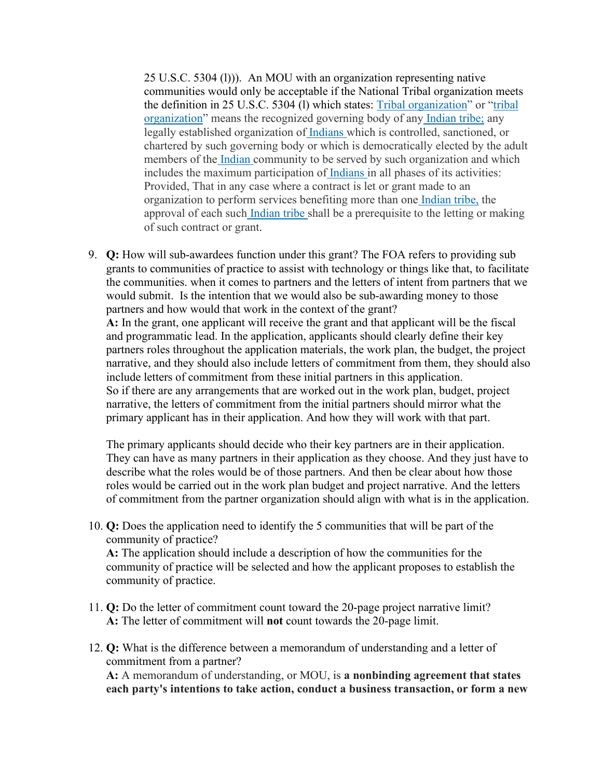25 U.S.C. 5304 (l))). An MOU with an organization representing native communities would only be acceptable if the National Tribal organization meets the definition in 25 U.S.C. 5304 (l) which states: [Tribal organization"](https://gcc02.safelinks.protection.outlook.com/?url=https%3A%2F%2Fwww.law.cornell.edu%2Fdefinitions%2Fuscode.php%3Fwidth%3D840%26height%3D800%26iframe%3Dtrue%26def_id%3D25-USC-1777858031-1757435817%26term_occur%3D999%26term_src%3Dtitle%3A25%3Achapter%3A46%3Asection%3A5304&data=05%7C01%7CLori.Gerhard%40acl.hhs.gov%7Cba5ccebd4f0e4a4469b608da3db80653%7Cd58addea50534a808499ba4d944910df%7C0%7C0%7C637890157829920785%7CUnknown%7CTWFpbGZsb3d8eyJWIjoiMC4wLjAwMDAiLCJQIjoiV2luMzIiLCJBTiI6Ik1haWwiLCJXVCI6Mn0%3D%7C3000%7C%7C%7C&sdata=HgGWaO3%2Bx5lX7lgy0MAdQPqvpNrgu6nvOZuMAMnruco%3D&reserved=0) or ["tribal](https://gcc02.safelinks.protection.outlook.com/?url=https%3A%2F%2Fwww.law.cornell.edu%2Fdefinitions%2Fuscode.php%3Fwidth%3D840%26height%3D800%26iframe%3Dtrue%26def_id%3D25-USC-1777858031-1757435817%26term_occur%3D999%26term_src%3Dtitle%3A25%3Achapter%3A46%3Asection%3A5304&data=05%7C01%7CLori.Gerhard%40acl.hhs.gov%7Cba5ccebd4f0e4a4469b608da3db80653%7Cd58addea50534a808499ba4d944910df%7C0%7C0%7C637890157829920785%7CUnknown%7CTWFpbGZsb3d8eyJWIjoiMC4wLjAwMDAiLCJQIjoiV2luMzIiLCJBTiI6Ik1haWwiLCJXVCI6Mn0%3D%7C3000%7C%7C%7C&sdata=HgGWaO3%2Bx5lX7lgy0MAdQPqvpNrgu6nvOZuMAMnruco%3D&reserved=0)  [organization"](https://gcc02.safelinks.protection.outlook.com/?url=https%3A%2F%2Fwww.law.cornell.edu%2Fdefinitions%2Fuscode.php%3Fwidth%3D840%26height%3D800%26iframe%3Dtrue%26def_id%3D25-USC-1777858031-1757435817%26term_occur%3D999%26term_src%3Dtitle%3A25%3Achapter%3A46%3Asection%3A5304&data=05%7C01%7CLori.Gerhard%40acl.hhs.gov%7Cba5ccebd4f0e4a4469b608da3db80653%7Cd58addea50534a808499ba4d944910df%7C0%7C0%7C637890157829920785%7CUnknown%7CTWFpbGZsb3d8eyJWIjoiMC4wLjAwMDAiLCJQIjoiV2luMzIiLCJBTiI6Ik1haWwiLCJXVCI6Mn0%3D%7C3000%7C%7C%7C&sdata=HgGWaO3%2Bx5lX7lgy0MAdQPqvpNrgu6nvOZuMAMnruco%3D&reserved=0) means the recognized governing body of an[y Indian tribe;](https://gcc02.safelinks.protection.outlook.com/?url=https%3A%2F%2Fwww.law.cornell.edu%2Fdefinitions%2Fuscode.php%3Fwidth%3D840%26height%3D800%26iframe%3Dtrue%26def_id%3D25-USC-1151445019-1757435810%26term_occur%3D999%26term_src%3Dtitle%3A25%3Achapter%3A46%3Asection%3A5304&data=05%7C01%7CLori.Gerhard%40acl.hhs.gov%7Cba5ccebd4f0e4a4469b608da3db80653%7Cd58addea50534a808499ba4d944910df%7C0%7C0%7C637890157829920785%7CUnknown%7CTWFpbGZsb3d8eyJWIjoiMC4wLjAwMDAiLCJQIjoiV2luMzIiLCJBTiI6Ik1haWwiLCJXVCI6Mn0%3D%7C3000%7C%7C%7C&sdata=CoX3QsteAy42JLCLUnmX6nFoga84ZKRixmbQBtzrpW4%3D&reserved=0) any legally established organization o[f Indians w](https://gcc02.safelinks.protection.outlook.com/?url=https%3A%2F%2Fwww.law.cornell.edu%2Fdefinitions%2Fuscode.php%3Fwidth%3D840%26height%3D800%26iframe%3Dtrue%26def_id%3D25-USC-2100368841-1757435809%26term_occur%3D999%26term_src%3Dtitle%3A25%3Achapter%3A46%3Asection%3A5304&data=05%7C01%7CLori.Gerhard%40acl.hhs.gov%7Cba5ccebd4f0e4a4469b608da3db80653%7Cd58addea50534a808499ba4d944910df%7C0%7C0%7C637890157829920785%7CUnknown%7CTWFpbGZsb3d8eyJWIjoiMC4wLjAwMDAiLCJQIjoiV2luMzIiLCJBTiI6Ik1haWwiLCJXVCI6Mn0%3D%7C3000%7C%7C%7C&sdata=xzUK0%2F9rmkxISGto1F26pJVyyY%2BZEU%2FG3MRKzfI2604%3D&reserved=0)hich is controlled, sanctioned, or chartered by such governing body or which is democratically elected by the adult members of th[e Indian c](https://gcc02.safelinks.protection.outlook.com/?url=https%3A%2F%2Fwww.law.cornell.edu%2Fdefinitions%2Fuscode.php%3Fwidth%3D840%26height%3D800%26iframe%3Dtrue%26def_id%3D25-USC-2100368841-1757435809%26term_occur%3D999%26term_src%3Dtitle%3A25%3Achapter%3A46%3Asection%3A5304&data=05%7C01%7CLori.Gerhard%40acl.hhs.gov%7Cba5ccebd4f0e4a4469b608da3db80653%7Cd58addea50534a808499ba4d944910df%7C0%7C0%7C637890157829920785%7CUnknown%7CTWFpbGZsb3d8eyJWIjoiMC4wLjAwMDAiLCJQIjoiV2luMzIiLCJBTiI6Ik1haWwiLCJXVCI6Mn0%3D%7C3000%7C%7C%7C&sdata=xzUK0%2F9rmkxISGto1F26pJVyyY%2BZEU%2FG3MRKzfI2604%3D&reserved=0)ommunity to be served by such organization and which includes the maximum participation o[f Indians i](https://gcc02.safelinks.protection.outlook.com/?url=https%3A%2F%2Fwww.law.cornell.edu%2Fdefinitions%2Fuscode.php%3Fwidth%3D840%26height%3D800%26iframe%3Dtrue%26def_id%3D25-USC-2100368841-1757435809%26term_occur%3D999%26term_src%3Dtitle%3A25%3Achapter%3A46%3Asection%3A5304&data=05%7C01%7CLori.Gerhard%40acl.hhs.gov%7Cba5ccebd4f0e4a4469b608da3db80653%7Cd58addea50534a808499ba4d944910df%7C0%7C0%7C637890157829920785%7CUnknown%7CTWFpbGZsb3d8eyJWIjoiMC4wLjAwMDAiLCJQIjoiV2luMzIiLCJBTiI6Ik1haWwiLCJXVCI6Mn0%3D%7C3000%7C%7C%7C&sdata=xzUK0%2F9rmkxISGto1F26pJVyyY%2BZEU%2FG3MRKzfI2604%3D&reserved=0)n all phases of its activities: Provided, That in any case where a contract is let or grant made to an organization to perform services benefiting more than on[e Indian tribe,](https://gcc02.safelinks.protection.outlook.com/?url=https%3A%2F%2Fwww.law.cornell.edu%2Fdefinitions%2Fuscode.php%3Fwidth%3D840%26height%3D800%26iframe%3Dtrue%26def_id%3D25-USC-1151445019-1757435810%26term_occur%3D999%26term_src%3Dtitle%3A25%3Achapter%3A46%3Asection%3A5304&data=05%7C01%7CLori.Gerhard%40acl.hhs.gov%7Cba5ccebd4f0e4a4469b608da3db80653%7Cd58addea50534a808499ba4d944910df%7C0%7C0%7C637890157829920785%7CUnknown%7CTWFpbGZsb3d8eyJWIjoiMC4wLjAwMDAiLCJQIjoiV2luMzIiLCJBTiI6Ik1haWwiLCJXVCI6Mn0%3D%7C3000%7C%7C%7C&sdata=CoX3QsteAy42JLCLUnmX6nFoga84ZKRixmbQBtzrpW4%3D&reserved=0) the approval of each suc[h Indian tribe s](https://gcc02.safelinks.protection.outlook.com/?url=https%3A%2F%2Fwww.law.cornell.edu%2Fdefinitions%2Fuscode.php%3Fwidth%3D840%26height%3D800%26iframe%3Dtrue%26def_id%3D25-USC-1151445019-1757435810%26term_occur%3D999%26term_src%3D&data=05%7C01%7CLori.Gerhard%40acl.hhs.gov%7Cba5ccebd4f0e4a4469b608da3db80653%7Cd58addea50534a808499ba4d944910df%7C0%7C0%7C637890157829920785%7CUnknown%7CTWFpbGZsb3d8eyJWIjoiMC4wLjAwMDAiLCJQIjoiV2luMzIiLCJBTiI6Ik1haWwiLCJXVCI6Mn0%3D%7C3000%7C%7C%7C&sdata=Xx3ASpNg6MCFRX9iE1CnqlQpfvrlsnnZMqUi%2Fld8bmc%3D&reserved=0)hall be a prerequisite to the letting or making of such contract or grant.

9. **Q:** How will sub-awardees function under this grant? The FOA refers to providing sub grants to communities of practice to assist with technology or things like that, to facilitate the communities. when it comes to partners and the letters of intent from partners that we would submit. Is the intention that we would also be sub-awarding money to those partners and how would that work in the context of the grant?  **A:** In the grant, one applicant will receive the grant and that applicant will be the fiscal and programmatic lead. In the application, applicants should clearly define their key partners roles throughout the application materials, the work plan, the budget, the project narrative, and they should also include letters of commitment from them, they should also include letters of commitment from these initial partners in this application. So if there are any arrangements that are worked out in the work plan, budget, project narrative, the letters of commitment from the initial partners should mirror what the primary applicant has in their application. And how they will work with that part.

The primary applicants should decide who their key partners are in their application. They can have as many partners in their application as they choose. And they just have to describe what the roles would be of those partners. And then be clear about how those roles would be carried out in the work plan budget and project narrative. And the letters of commitment from the partner organization should align with what is in the application.

10. **Q:** Does the application need to identify the 5 communities that will be part of the community of practice?

**A:** The application should include a description of how the communities for the community of practice will be selected and how the applicant proposes to establish the community of practice.

- 11. **Q:** Do the letter of commitment count toward the 20-page project narrative limit? **A:** The letter of commitment will **not** count towards the 20-page limit.
- 12. **Q:** What is the difference between a memorandum of understanding and a letter of commitment from a partner? **A:** A memorandum of understanding, or MOU, is **a nonbinding agreement that states each party's intentions to take action, conduct a business transaction, or form a new**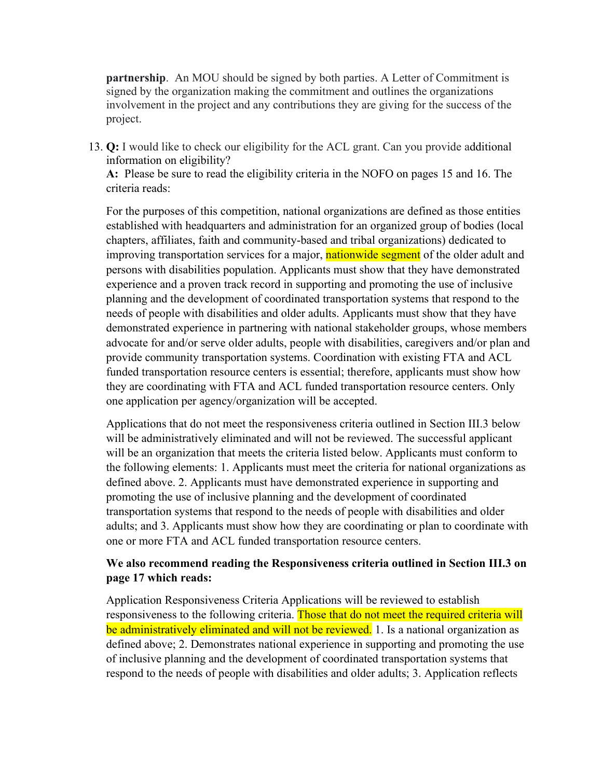**partnership**. An MOU should be signed by both parties. A Letter of Commitment is signed by the organization making the commitment and outlines the organizations involvement in the project and any contributions they are giving for the success of the project.

13. **Q:** I would like to check our eligibility for the ACL grant. Can you provide additional information on eligibility?

**A:** Please be sure to read the eligibility criteria in the NOFO on pages 15 and 16. The criteria reads:

For the purposes of this competition, national organizations are defined as those entities established with headquarters and administration for an organized group of bodies (local chapters, affiliates, faith and community-based and tribal organizations) dedicated to improving transportation services for a major, nationwide segment of the older adult and persons with disabilities population. Applicants must show that they have demonstrated experience and a proven track record in supporting and promoting the use of inclusive planning and the development of coordinated transportation systems that respond to the needs of people with disabilities and older adults. Applicants must show that they have demonstrated experience in partnering with national stakeholder groups, whose members advocate for and/or serve older adults, people with disabilities, caregivers and/or plan and provide community transportation systems. Coordination with existing FTA and ACL funded transportation resource centers is essential; therefore, applicants must show how they are coordinating with FTA and ACL funded transportation resource centers. Only one application per agency/organization will be accepted.

Applications that do not meet the responsiveness criteria outlined in Section III.3 below will be administratively eliminated and will not be reviewed. The successful applicant will be an organization that meets the criteria listed below. Applicants must conform to the following elements: 1. Applicants must meet the criteria for national organizations as defined above. 2. Applicants must have demonstrated experience in supporting and promoting the use of inclusive planning and the development of coordinated transportation systems that respond to the needs of people with disabilities and older adults; and 3. Applicants must show how they are coordinating or plan to coordinate with one or more FTA and ACL funded transportation resource centers.

## **We also recommend reading the Responsiveness criteria outlined in Section III.3 on page 17 which reads:**

Application Responsiveness Criteria Applications will be reviewed to establish responsiveness to the following criteria. Those that do not meet the required criteria will be administratively eliminated and will not be reviewed. 1. Is a national organization as defined above; 2. Demonstrates national experience in supporting and promoting the use of inclusive planning and the development of coordinated transportation systems that respond to the needs of people with disabilities and older adults; 3. Application reflects